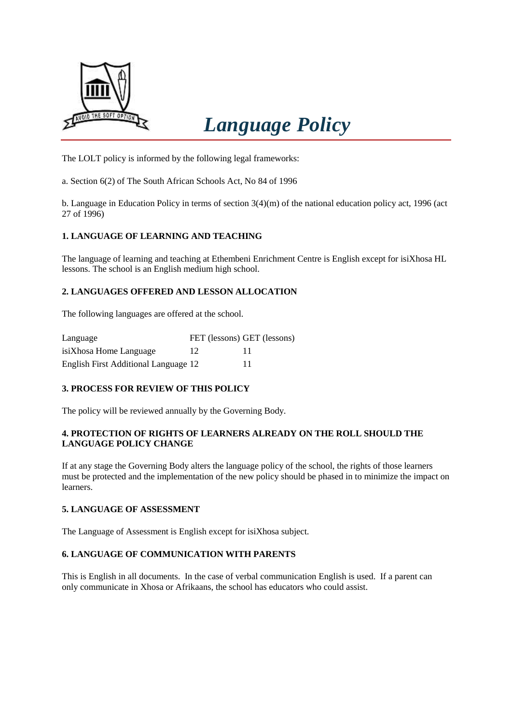

# *Language Policy*

The LOLT policy is informed by the following legal frameworks:

a. Section 6(2) of The South African Schools Act, No 84 of 1996

b. Language in Education Policy in terms of section 3(4)(m) of the national education policy act, 1996 (act 27 of 1996)

# **1. LANGUAGE OF LEARNING AND TEACHING**

The language of learning and teaching at Ethembeni Enrichment Centre is English except for isiXhosa HL lessons. The school is an English medium high school.

# **2. LANGUAGES OFFERED AND LESSON ALLOCATION**

The following languages are offered at the school.

| Language                             |    | FET (lessons) GET (lessons) |
|--------------------------------------|----|-----------------------------|
| isiXhosa Home Language               | 12 |                             |
| English First Additional Language 12 |    |                             |

# **3. PROCESS FOR REVIEW OF THIS POLICY**

The policy will be reviewed annually by the Governing Body.

#### **4. PROTECTION OF RIGHTS OF LEARNERS ALREADY ON THE ROLL SHOULD THE LANGUAGE POLICY CHANGE**

If at any stage the Governing Body alters the language policy of the school, the rights of those learners must be protected and the implementation of the new policy should be phased in to minimize the impact on learners.

#### **5. LANGUAGE OF ASSESSMENT**

The Language of Assessment is English except for isiXhosa subject.

#### **6. LANGUAGE OF COMMUNICATION WITH PARENTS**

This is English in all documents. In the case of verbal communication English is used. If a parent can only communicate in Xhosa or Afrikaans, the school has educators who could assist.